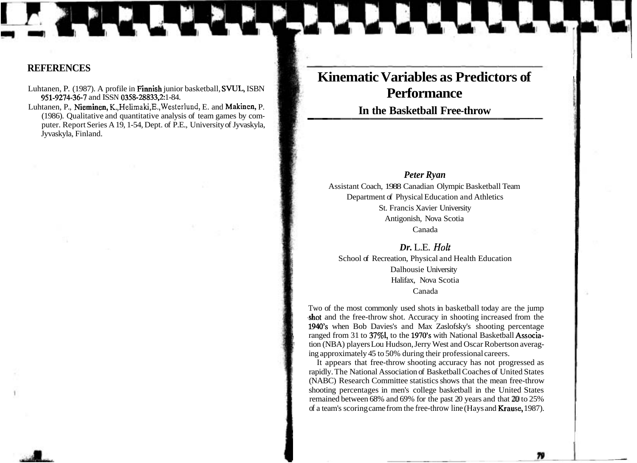# **Kinematic Variables as Predictors of Performance**

In the Basketball Free-throw

# *Peter Ryan*

Assistant Coach, 1988 Canadian Olympic Basketball Team Department of Physical Education and Athletics St. Francis Xavier University Antigonish, Nova Scotia Canada

*Dr.* L.E. *Holt* 

School of Recreation, Physical and Health Education Dalhousie University Halifax, Nova Scotia Canada

Two of the most commonly used shots in basketball today are the jump .shot and the free-throw shot. Accuracy in shooting increased from the 1940's when Bob Davies's and Max Zaslofsky's shooting percentage ranged from 31 to 37%l, to the 1970's with National Basketball Association (NBA) players Lou Hudson, Jerry West and Oscar Robertson averag-<br>ing approximately 45 to 50% during their professional careers.

It appears that free-throw shooting accuracy has not progressed as rapidly. The National Association of Basketball Coaches of United States (NABC) Research Committee statistics shows that the mean free-throw shooting percentages in men's college basketball in the United States remained between 68% and 69% for the past 20 years and that **20** to 25% of a team's scoring came from the free-throw line (Hays and Krause, 1987).

79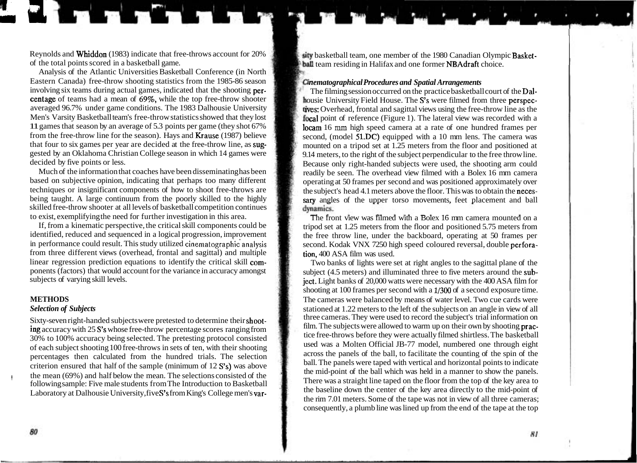**Revnolds and Whiddon** ( Reynolds and Whiddon (1983) indicate that free-throws account for 20% basketball team, one member of the 1980 Canadian Olympic Basket-<br>of the total points scored in a basketball game.

Analysis of the Atlantic Universities Basketball Conference (in North Eastern Canada) free-throw shooting statistics from the 1985-86 season *nematographical Procedures and Spatial Arrangements* involving six teams during actual games, indicated that the shooting per-<br>The filming session o involving six teams during actual games, indicated that the shooting per-<br> **Example 1999** Centage of teams had a mean of 69%, while the top free-throw shooter<br> **Example 1999** Centage of teams had a mean of 69%, while the t centage of teams had a mean of 69%, while the top free-throw shooter housie University Field House. The S's were filmed from three perspec-<br>averaged 96.7% under game conditions. The 1983 Dalhousie University averaged 96.7% under game conditions. The 1983 Dalhousie University is the tives: Overhead, frontal and sagittal views using the free-throw line as the Men's Varsity Basketball team's free-throw statistics showed that they Men's Varsity Basketball team's free-throw statistics showed that they lost **the point of reference** (Figure 1). The lateral view was recorded with a 11 games that season by an average of 5.3 points per game (they shot 67% 11 games that season by an average of 5.3 points per game (they shot 67% locam 16 mm high speed camera at a rate of one hundred frames per from the free-throw line for the season). Hays and Krause (1987) believe second (mo from the free-throw line for the season). Hays and Krause (1987) believe second, (model 51.DC) equipped with a 10 mm lens. The camera was that four to six games per year are decided at the free-throw line, as sug-<br>mounted gested by an Oklahoma Christian College season in which 14 games were 9.14 meters, to the right of the subject perpendicular to the free throw line.<br>Because only right-handed subjects were used the shooting arm could

Much of the information that coaches have been disseminating has been readily be seen. The overhead view filmed with a Bolex 16 mm camera<br>based on subjective opinion, indicating that perhaps too many different<br>operating at based on subjective opinion, indicating that perhaps too many different operating at 50 frames per second and was positioned approximately over<br>techniques or insignificant components of how to shoot free-throws are<br>the sub skilled free-throw shooter at all levels of basketball competition continues

If, from a kinematic perspective, the critical skill components could be tripod set at 1.25 meters from the floor and positioned 5.75 meters from identified, reduced and sequenced in a logical progression, improvement the identified, reduced and sequenced in a logical progression, improvement the free throw line, under the backboard, operating at 50 frames per in performance could result. This study utilized cinematographic analysis second. from three different views (overhead, frontal and sagittal) and multiple linear regression prediction equations to identify the critical skill comlinear regression prediction equations to identify the critical skill com-<br>ponents (factors) that would account for the variance in accuracy amongst<br>subject (4.5 meters) and illuminated three to five meters around the subponents (factors) that would account for the variance in accuracy amongst<br>subject (4.5 meters) and illuminated three to five meters around the sub-<br>iect Light banks of 20,000 watts were necessary with the 400 ASA film for

Sixty-seven right-handed subjects were pretested to determine their shoot-<br>ing accuracy with 25 S's whose free throw percentage scores ranging from<br> $\frac{1}{2}$  film. The subjects were allowed to warm up on their own by shoot ing accuracy with 25 S's whose free-throw percentage scores ranging from film. The subjects were allowed to warm up on their own by shooting **prac-**<br>200% to 100% accuracy being selected. The gratesting pratectic enriched f 30% to 100% accuracy being selected. The pretesting protocol consisted used was a Molten Official JB-77 model, numbered one through eight of each subject shooting 100 free throws in sets of tap with their shooting of each subject shooting 100 free-throws in sets of ten, with their shooting used was a Molten Official JB-77 model, numbered one through eight across the panels of the ball, to facilitate the counting of the spin of the p percentages then calculated from the hundred trials. The selection across the panels of the ball, to facilitate the counting of the spin of the spin of the counting of the spin of the spin of the spin of the spin of the sp criterion ensured that half of the sample (minimum of 12 S's) was above ball. The panels were taped with vertical and horizontal points to indicate<br>the mid-point of the ball which was held in a manner to show the panels. the mean (69%) and half below the mean. The selections consisted of the following sample: Five male students from The Introduction to Basketball Laboratory at Dalhousie University, five S's from King's College men's var-

ball team residing in Halifax and one former NBAdraft choice.

that four to six games per year are decided at the free-throw line, as sug-<br>gasted by an Oklahoma Christian College season in which 14 games were 9.14 meters to the right of the subject perpendicular to the free throw line cided by five points or less.<br>Much of the information that coaches have been disseminating has been seen the seen. The overhead view filmed with a Bolex 16 mm camera techniques or insignificant components of how to shoot free-throws are the subject's head 4.1 meters above the floor. This was to obtain the neces-<br>being taught. A large continuum from the poorly skilled to the highly sary sary angles of the upper torso movements, feet placement and ball dynamics.

to exist, exemplifying the need for further investigation in this area.<br>If, from a kinematic perspective, the critical skill components could be from the floot and positioned 5.75 meters from second. Kodak VNX 7250 high speed coloured reversal, double perfora-<br>tion. 400 ASA film was used.

ject. Light banks of 20,000 watts were necessary with the 400 ASA film for shooting at 100 frames per second with a 1/300 of a second exposure time. **METHODS The cameras were balanced by means of water level. Two cue cards were Selection of Subjects** stationed at 1.22 meters to the left of the subjects on an angle in view of all three cameras. They were used to record the subject's trial information on There was a straight line taped on the floor from the top of the key area to the baseline down the center of the key area directly to the mid-point of the rim 7.01 meters. Some of the tape was not in view of all three cameras; consequently, a plumb line was lined up from the end of the tape at the top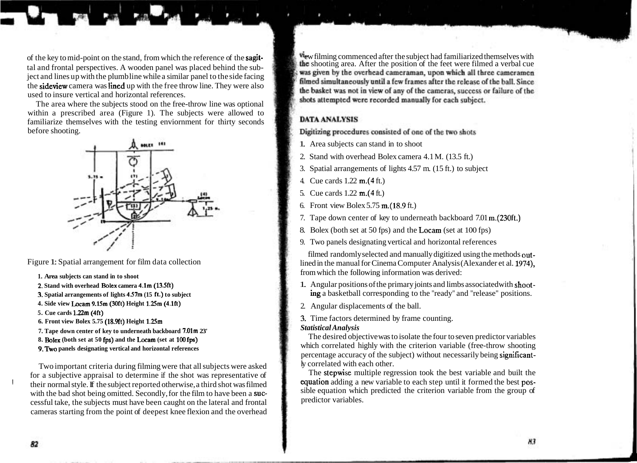tal and frontal perspectives. A wooden panel was placed behind the sub-<br>https://was given by the overhead cameraman, upon which all three cameramen ject and lines up with the plumb line while a similar panel to the side facing the sideview camera was limed up with the free throw line. They were also used to insure vertical and horizontal references.

The area where the subjects stood on the free-throw line was optional within a prescribed area (Figure 1). The subjects were allowed to familiarize themselves with the testing enviornment for thirty seconds before shooting.



- 
- 
- 
- **4. Side view bcam 9.15m (30ft) Height 1.Xm (4.lft)** 2. Angular displacements of the ball.
- **5. Cue cards 1.22m (4ft)**
- 
- **7. Tape down center of key to underneath backboard 7.01m 23'** *Statistical Analysis*
- 
- 

Two important criteria during filming were that all subjects were asked ly correlated with each other.<br>In the stepwise multiple regression took the best variable and built the resultiple is a subjective appraisal to determ for a subjective appraisal to determine if the shot was representative of I their normal style. If the subject reported otherwise, a third shot was filmed equation adding a new variable to each step until it formed the best pos-<br>with the had shot being omitted. Secondly, for the film to have bee with the bad shot being omitted. Secondly, for the film to have been a **suc-** sible equation which predictor variables. cessful take, the subjects must have been caught on the lateral and frontal cameras starting from the point of deepest knee flexion and the overhead

of the key to mid-point on the stand, from which the reference of the **sagit-** we filming commenced after the subject had familiarized themselves with the subject had familiarized themselves with the subject had familiariz filmed simultaneously until a few frames after the release of the ball. Since the basket was not in view of any of the cameras, success or failure of the shots attempted were recorded manually for each subject.

# **DATA ANALYSIS**

Digitizing procedures consisted of one of the two shots

- 1. Area subjects can stand in to shoot
- 2. Stand with overhead Bolex camera 4.1 M. (13.5 ft.)
- 3. Spatial arrangements of lights 4.57 m. (15 ft.) to subject
- 4. Cue cards 1.22 m.(4 ft.)
- 5. Cue cards 1.22 m.(4 ft.)
- 6. Front view Bolex 5.75 m.(18.9 ft.)
- 7. Tape down center of key to underneath backboard 7.01 m.(230ft.)
- 8. Bolex (both set at 50 fps) and the Locam (set at 100 fps)
- 9. Two panels designating vertical and horizontal references

filmed randomly selected and manually digitized using the methods out-Figure 1: Spatial arrangement for film data collection lined in the manual for Cinema Computer Analysis (Alexander et al. 1974), **1. Area subjects can stand in to shoot from which the following information was derived:** 

- **2.** Stand with overhead Bolex camera 4.1m (13.5ft) **1.** Angular positions of the primary joints and limbs associated with shoot-**3.** Spatial arrangements of lights 4.57m (15 ft.) to subject **ing** a basketball corresponding to the "ready" and "release" positions.
	-
- **6. Front view Bolex 5.75 (18.9ft) Height 1.25m** 3. Time factors determined by frame counting.

**8. Bolex** (both set at 50 fps) and the Locam (set at 100 fps) **The desired objective was to isolate the four to seven predictor variables 9. Two panels designating vertical and horizontal references** which correlated highly with the criterion variable (free-throw shooting which correlated highly with the criterion variable (free-throw shooting percentage accuracy of the subject) without necessarily being significant-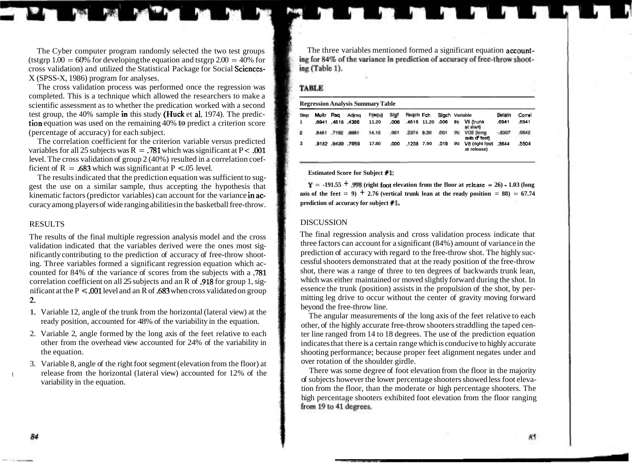(tstgrp  $1.00 = 60\%$  for developing the equation and tstgrp  $2.00 = 40\%$  for cross validation) and utilized the Statistical Package for Social Sciences-X (SPSS-X, 1986) program for analyses.

The cross validation process was performed once the regression was completed. This is a technique which allowed the researchers to make a scientific assessment as to whether the predication worked with a second test group, the 40% sample in this study (**Huck** et al. 1974). The prediction equation was used on the remaining 40% to predict a criterion score (percentage of accuracy) for each subject.

The correlation coefficient for the criterion variable versus predicted variables for all 25 subjects was  $R = .781$  which was significant at P < .001 level. The cross validation of group 2 (40%) resulted in a correlation coef-<br>ficient of R = .683 which was significant at P < .05 level.

Figure 1.683 which was significant at  $1 - .03$  level.<br>The results indicated that the prediction equation was sufficient to sug-<br> $Y = -191.55 + .996$  (right foot elevation from the floor at release = 26) - 1.03 (long<br> $Y = -191.55$ gest the use on a similar sample, thus accepting the hypothesis that  $Y = -191.55 + 998$  (right foot elevation from the floor at release = 26)  $\cdot$  **1.03** (long kinematic factors (predictor variables) can account for the var kinematic factors (predictor variables) can account for the variance in  $ac$ -<br>**axis of the feet = 9)**  $\pm$  **2.76** (vertical<br>curacy among players of wide ranging abilities in the basketball free-throw **prediction of accuracy for subject #I.** curacy among players of wide ranging abilities in the basketball free-throw.

### RESULTS

The results of the final multiple regression analysis model and the cross validation indicated that the variables derived were the ones most significantly contributing to the prediction of accuracy of free-throw shooting. Three variables formed a significant regression equation which accounted for 84% of the variance of scores from the subjects with a .781 correlation coefficient on all 25 subjects and an R of .918 for group 1, significant at the  $P \le 0.001$  level and an R of .683 when cross validated on group 2.

- 1. Variable 12, angle of the trunk from the horizontal (lateral view) at the ready position, accounted for 48% of the variability in the equation.
- 2. Variable 2, angle formed by the long axis of the feet relative to each other from the overhead view accounted for 24% of the variability in the equation.
- 3. Variable 8, angle of the right foot segment (elevation from the floor) at If release from the horizontal (lateral view) accounted for 12% of the variability in the equation.

The Cyber computer program randomly selected the two test groups The three variables mentioned formed a significant equation **account-**<br>term 1.00 = 60% for developing the equation and tstgrp 2.00 = 40% for ing (Table 1).

### **TABLE**

|  | <b>Regression Analysis Summary Table</b> |  |
|--|------------------------------------------|--|
|  |                                          |  |

| <b>Step</b> | Multr Rsq |           | Adirsa            | Frequi | Silan | Hageh Fch   | Sigch Variable |   |                                   | Belain  | Correl |
|-------------|-----------|-----------|-------------------|--------|-------|-------------|----------------|---|-----------------------------------|---------|--------|
|             |           |           | .6941 .4818 .4386 | 11.20  | .006  | .4818 11.20 | .006           |   | IN: VII (trunk<br>at start        | .6941   | .6941  |
| ż           | 8481      | 7182 8861 |                   | 14.10  | ,001  | 2374 9.30   | ,001           | 默 | VD2 (long<br>awls of feet)        | $-8507$ | 4642   |
| 3           |           |           | ,9182 0130 7959   | 17.80  | .000  | .1238 7.90  | .019           |   | IN: V8 (right foot<br>at release) | .3644   | .5504  |

### **1** DISCUSSION

The final regression analysis and cross validation process indicate that three factors can account for a significant (84%) amount of variance in the prediction of accuracy with regard to the free-throw shot. The highly successful shooters demonstrated that at the ready position of the free-throw shot, there was a range of three to ten degrees of backwards trunk lean, which was either maintained or moved slightly forward during the shot. In essence the trunk (position) assists in the propulsion of the shot, by permitting leg drive to occur without the center of gravity moving forward beyond the free-throw line.

The angular measurements of the long axis of the feet relative to each other, of the highly accurate free-throw shooters straddling the taped center line ranged from 14 to 18 degrees. The use of the prediction equation indicates that there is a certain range which is conducive to highly accurate shooting performance; because proper feet alignment negates under and over rotation of the shoulder girdle.

There was some degree of foot elevation from the floor in the majority of subjects however the lower percentage shooters showed less foot elevation from the floor, than the moderate or high percentage shooters. The high percentage shooters exhibited foot elevation from the floor ranging from 19 to 41 degrees.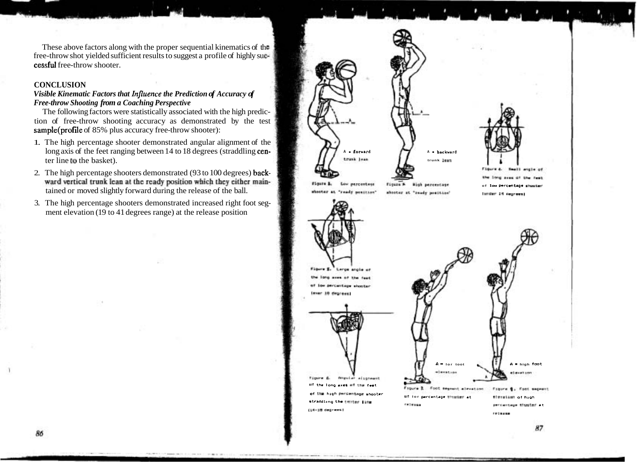These above factors along with the proper sequential kinematics of the free-throw shot yielded sufficient results to suggest a profile of highly su cessful free-throw shooter.

## **CONCLUSION**

# *Visible Kinematic Factors that Influence the Prediction of Accuracy of Free-throw Shooting from a Coaching Perspective*

The following factors were statistically associated with the high prediction of free-throw shooting accuracy as demonstrated by the test sample(profile of 85% plus accuracy free-throw shooter):

- 1. The high percentage shooter demonstrated angular alignment of the long axis of the feet ranging between 14 to 18 degrees (straddling cen-  $\int_{\text{train}}$   $\int_{\text{train}}$   $\int_{\text{train}}$   $\int_{\text{train}}$   $\int_{\text{train}}$  a **backward** ter line to the basket). **the basket** of the contract of the contract of the contract of the contract of the contract of the contract of the contract of the contract of the contract of the contract of the contract of the c
- 2. The high percentage shooters demonstrated (93 to 100 degrees) back-<br>ward vertical trunk lean at the ready position which they either maintained or moved slightly forward during the release of the ball. **in the contrast of the percentage** is a set of the ball **in the release of the ball**. **In the contrast of the set of the set of the set of the set of the ba**
- 3. The high percentage shooters demonstrated increased right foot segment elevation (19 to 41 degrees range) at the release position





Anna dif title, front **of lor P-rcmtago shmtmr**